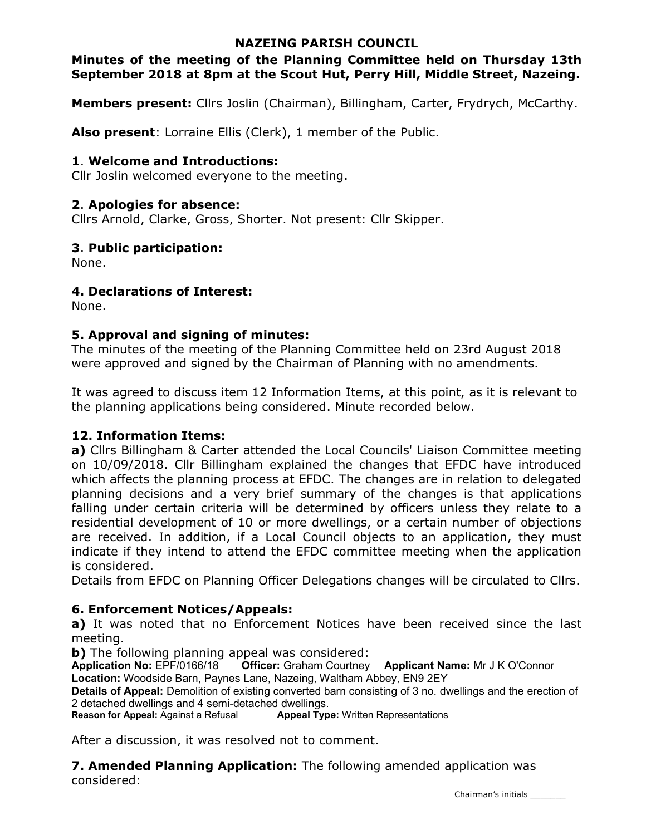## NAZEING PARISH COUNCIL

## Minutes of the meeting of the Planning Committee held on Thursday 13th September 2018 at 8pm at the Scout Hut, Perry Hill, Middle Street, Nazeing.

Members present: Cllrs Joslin (Chairman), Billingham, Carter, Frydrych, McCarthy.

Also present: Lorraine Ellis (Clerk), 1 member of the Public.

### 1. Welcome and Introductions:

Cllr Joslin welcomed everyone to the meeting.

### 2. Apologies for absence:

Cllrs Arnold, Clarke, Gross, Shorter. Not present: Cllr Skipper.

### 3. Public participation:

None.

### 4. Declarations of Interest:

None.

## 5. Approval and signing of minutes:

The minutes of the meeting of the Planning Committee held on 23rd August 2018 were approved and signed by the Chairman of Planning with no amendments.

It was agreed to discuss item 12 Information Items, at this point, as it is relevant to the planning applications being considered. Minute recorded below.

### 12. Information Items:

a) Cllrs Billingham & Carter attended the Local Councils' Liaison Committee meeting on 10/09/2018. Cllr Billingham explained the changes that EFDC have introduced which affects the planning process at EFDC. The changes are in relation to delegated planning decisions and a very brief summary of the changes is that applications falling under certain criteria will be determined by officers unless they relate to a residential development of 10 or more dwellings, or a certain number of objections are received. In addition, if a Local Council objects to an application, they must indicate if they intend to attend the EFDC committee meeting when the application is considered.

Details from EFDC on Planning Officer Delegations changes will be circulated to Cllrs.

### 6. Enforcement Notices/Appeals:

a) It was noted that no Enforcement Notices have been received since the last meeting.

b) The following planning appeal was considered:

Application No: EPF/0166/18 Officer: Graham Courtney Applicant Name: Mr J K O'Connor Location: Woodside Barn, Paynes Lane, Nazeing, Waltham Abbey, EN9 2EY

Details of Appeal: Demolition of existing converted barn consisting of 3 no. dwellings and the erection of 2 detached dwellings and 4 semi-detached dwellings.

Reason for Appeal: Against a Refusal **Appeal Type:** Written Representations

After a discussion, it was resolved not to comment.

**7. Amended Planning Application:** The following amended application was considered: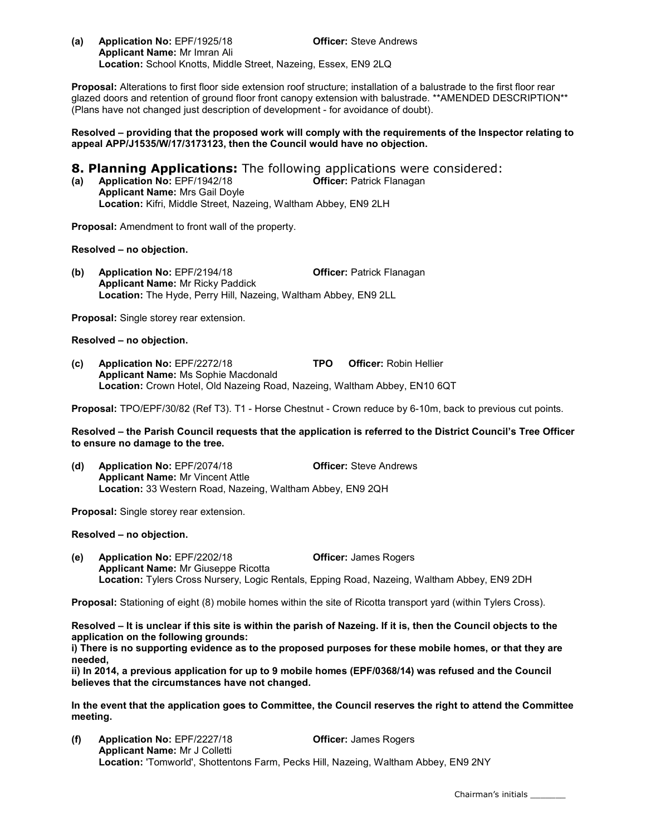(a) Application No: EPF/1925/18 Officer: Steve Andrews Applicant Name: Mr Imran Ali Location: School Knotts, Middle Street, Nazeing, Essex, EN9 2LQ

Proposal: Alterations to first floor side extension roof structure; installation of a balustrade to the first floor rear glazed doors and retention of ground floor front canopy extension with balustrade. \*\*AMENDED DESCRIPTION\*\* (Plans have not changed just description of development - for avoidance of doubt).

Resolved – providing that the proposed work will comply with the requirements of the Inspector relating to appeal APP/J1535/W/17/3173123, then the Council would have no objection.

**8. Planning Applications:** The following applications were considered:

(a) Application No: EPF/1942/18 Officer: Patrick Flanagan Applicant Name: Mrs Gail Doyle Location: Kifri, Middle Street, Nazeing, Waltham Abbey, EN9 2LH

Proposal: Amendment to front wall of the property.

Resolved – no objection.

(b) Application No: EPF/2194/18 Officer: Patrick Flanagan Applicant Name: Mr Ricky Paddick Location: The Hyde, Perry Hill, Nazeing, Waltham Abbey, EN9 2LL

Proposal: Single storey rear extension.

Resolved – no objection.

(c) Application No: EPF/2272/18 TPO Officer: Robin Hellier Applicant Name: Ms Sophie Macdonald Location: Crown Hotel, Old Nazeing Road, Nazeing, Waltham Abbey, EN10 6QT

Proposal: TPO/EPF/30/82 (Ref T3). T1 - Horse Chestnut - Crown reduce by 6-10m, back to previous cut points.

Resolved – the Parish Council requests that the application is referred to the District Council's Tree Officer to ensure no damage to the tree.

(d) Application No: EPF/2074/18 Officer: Steve Andrews Applicant Name: Mr Vincent Attle Location: 33 Western Road, Nazeing, Waltham Abbey, EN9 2QH

Proposal: Single storey rear extension.

Resolved – no objection.

(e) Application No: EPF/2202/18 Officer: James Rogers Applicant Name: Mr Giuseppe Ricotta Location: Tylers Cross Nursery, Logic Rentals, Epping Road, Nazeing, Waltham Abbey, EN9 2DH

Proposal: Stationing of eight (8) mobile homes within the site of Ricotta transport yard (within Tylers Cross).

Resolved – It is unclear if this site is within the parish of Nazeing. If it is, then the Council objects to the application on the following grounds:

i) There is no supporting evidence as to the proposed purposes for these mobile homes, or that they are needed,

ii) In 2014, a previous application for up to 9 mobile homes (EPF/0368/14) was refused and the Council believes that the circumstances have not changed.

In the event that the application goes to Committee, the Council reserves the right to attend the Committee meeting.

(f) Application No: EPF/2227/18 Officer: James Rogers Applicant Name: Mr J Colletti Location: 'Tomworld', Shottentons Farm, Pecks Hill, Nazeing, Waltham Abbey, EN9 2NY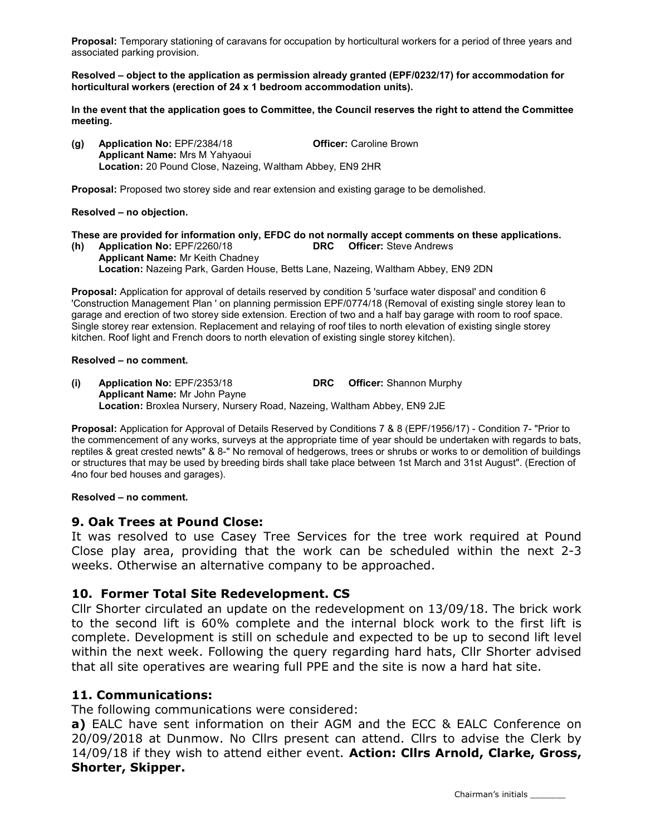Proposal: Temporary stationing of caravans for occupation by horticultural workers for a period of three years and associated parking provision.

Resolved – object to the application as permission already granted (EPF/0232/17) for accommodation for horticultural workers (erection of 24 x 1 bedroom accommodation units).

In the event that the application goes to Committee, the Council reserves the right to attend the Committee meeting.

(g) Application No: EPF/2384/18 Officer: Caroline Brown Applicant Name: Mrs M Yahyaoui Location: 20 Pound Close, Nazeing, Waltham Abbey, EN9 2HR

Proposal: Proposed two storey side and rear extension and existing garage to be demolished.

#### Resolved – no objection.

These are provided for information only, EFDC do not normally accept comments on these applications. (h) Application No: EPF/2260/18 DRC Officer: Steve Andrews

Applicant Name: Mr Keith Chadney Location: Nazeing Park, Garden House, Betts Lane, Nazeing, Waltham Abbey, EN9 2DN

Proposal: Application for approval of details reserved by condition 5 'surface water disposal' and condition 6 'Construction Management Plan ' on planning permission EPF/0774/18 (Removal of existing single storey lean to garage and erection of two storey side extension. Erection of two and a half bay garage with room to roof space. Single storey rear extension. Replacement and relaying of roof tiles to north elevation of existing single storey kitchen. Roof light and French doors to north elevation of existing single storey kitchen).

#### Resolved – no comment.

(i) Application No: EPF/2353/18 DRC Officer: Shannon Murphy Applicant Name: Mr John Payne Location: Broxlea Nursery, Nursery Road, Nazeing, Waltham Abbey, EN9 2JE

Proposal: Application for Approval of Details Reserved by Conditions 7 & 8 (EPF/1956/17) - Condition 7- "Prior to the commencement of any works, surveys at the appropriate time of year should be undertaken with regards to bats, reptiles & great crested newts" & 8-" No removal of hedgerows, trees or shrubs or works to or demolition of buildings or structures that may be used by breeding birds shall take place between 1st March and 31st August". (Erection of 4no four bed houses and garages).

#### Resolved – no comment.

### 9. Oak Trees at Pound Close:

It was resolved to use Casey Tree Services for the tree work required at Pound Close play area, providing that the work can be scheduled within the next 2-3 weeks. Otherwise an alternative company to be approached.

### 10. Former Total Site Redevelopment. CS

Cllr Shorter circulated an update on the redevelopment on 13/09/18. The brick work to the second lift is 60% complete and the internal block work to the first lift is complete. Development is still on schedule and expected to be up to second lift level within the next week. Following the query regarding hard hats, Cllr Shorter advised that all site operatives are wearing full PPE and the site is now a hard hat site.

### 11. Communications:

The following communications were considered:

a) EALC have sent information on their AGM and the ECC & EALC Conference on 20/09/2018 at Dunmow. No Cllrs present can attend. Cllrs to advise the Clerk by 14/09/18 if they wish to attend either event. Action: Cllrs Arnold, Clarke, Gross, Shorter, Skipper.